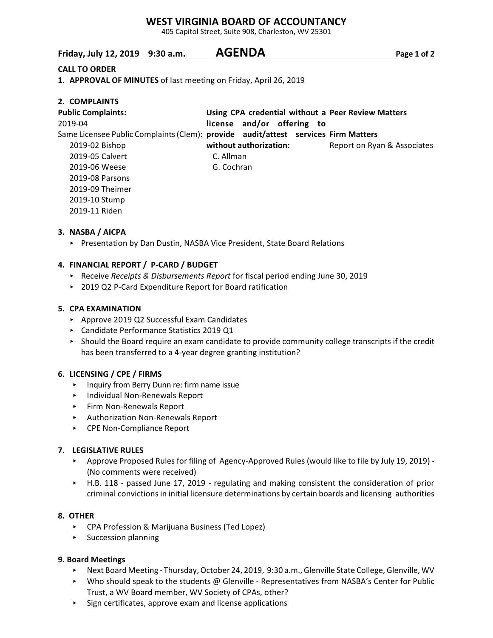### **WEST VIRGINIA BOARD OF ACCOUNTANCY**

405 Capitol Street, Suite 908, Charleston, WV 25301

# **Friday, July 12, 2019 9:30 a.m. AGENDA Page 1 of 2**

#### **CALL TO ORDER**

**1. APPROVAL OF MINUTES** of last meeting on Friday, April 26, 2019

| 2. COMPLAINTS                                                                      |                                                    |                             |
|------------------------------------------------------------------------------------|----------------------------------------------------|-----------------------------|
| <b>Public Complaints:</b>                                                          | Using CPA credential without a Peer Review Matters |                             |
| 2019-04                                                                            | license and/or offering to                         |                             |
| Same Licensee Public Complaints (Clem): provide audit/attest services Firm Matters |                                                    |                             |
| 2019-02 Bishop                                                                     | without authorization:                             | Report on Ryan & Associates |
| 2019-05 Calvert                                                                    | C. Allman                                          |                             |
| 2019-06 Weese                                                                      | G. Cochran                                         |                             |
| 2019-08 Parsons                                                                    |                                                    |                             |
| 2019-09 Theimer                                                                    |                                                    |                             |
| 2019-10 Stump                                                                      |                                                    |                             |
| 2019-11 Riden                                                                      |                                                    |                             |

#### **3. NASBA / AICPA**

▶ Presentation by Dan Dustin, NASBA Vice President, State Board Relations

#### **4. FINANCIAL REPORT / P-CARD / BUDGET**

- < Receive *Receipts & Disbursements Report* for fiscal period ending June 30, 2019
- ▶ 2019 Q2 P-Card Expenditure Report for Board ratification

#### **5. CPA EXAMINATION**

- ▶ Approve 2019 Q2 Successful Exam Candidates
- < Candidate Performance Statistics 2019 Q1
- < Should the Board require an exam candidate to provide community college transcripts if the credit has been transferred to a 4-year degree granting institution?

#### **6. LICENSING / CPE / FIRMS**

- **EX Inquiry from Berry Dunn re: firm name issue**
- < Individual Non-Renewals Report
- < Firm Non-Renewals Report
- < Authorization Non-Renewals Report
- ▶ CPE Non-Compliance Report

#### **7. LEGISLATIVE RULES**

- ▶ Approve Proposed Rules for filing of Agency-Approved Rules (would like to file by July 19, 2019) -(No comments were received)
- ▶ H.B. 118 passed June 17, 2019 regulating and making consistent the consideration of prior criminal convictions in initial licensure determinations by certain boards and licensing authorities

#### **8. OTHER**

- ▶ CPA Profession & Marijuana Business (Ted Lopez)
- $\triangleright$  Succession planning

#### **9. Board Meetings**

- \* Next Board Meeting Thursday, October 24, 2019, 9:30 a.m., Glenville State College, Glenville, WV
- $\triangleright$  Who should speak to the students @ Glenville Representatives from NASBA's Center for Public Trust, a WV Board member, WV Society of CPAs, other?
- $\triangleright$  Sign certificates, approve exam and license applications